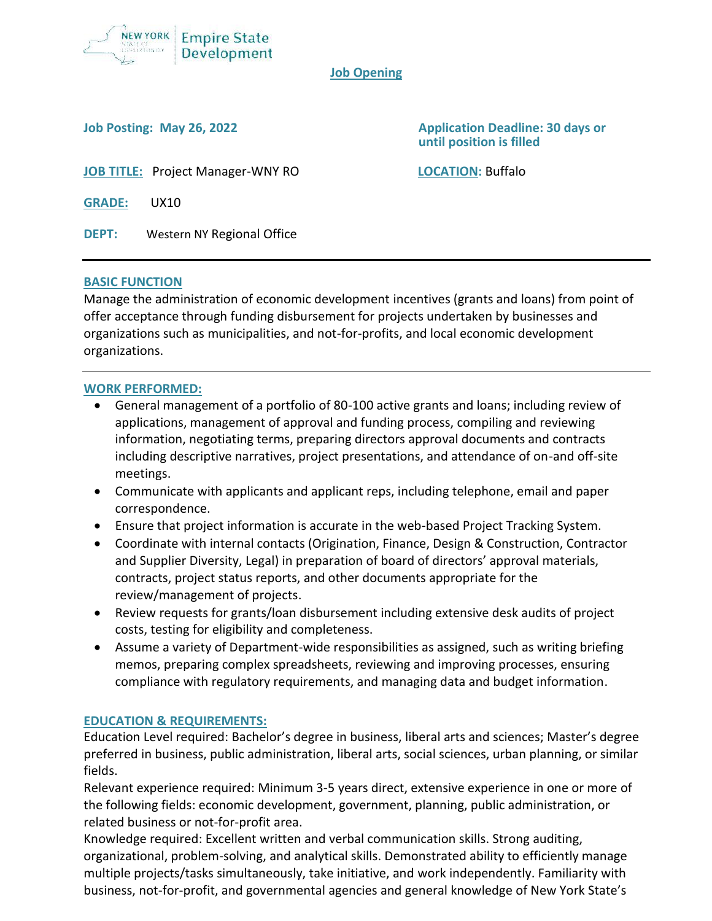

#### **Job Opening**

**Job Posting: May 26, 2022 Application Deadline: 30 days or until position is filled**

**JOB TITLE:** Project Manager-WNY RO **LOCATION:** Buffalo

**GRADE:** UX10

**DEPT:** Western NY Regional Office

### **BASIC FUNCTION**

Manage the administration of economic development incentives (grants and loans) from point of offer acceptance through funding disbursement for projects undertaken by businesses and organizations such as municipalities, and not-for-profits, and local economic development organizations.

## **WORK PERFORMED:**

- General management of a portfolio of 80-100 active grants and loans; including review of applications, management of approval and funding process, compiling and reviewing information, negotiating terms, preparing directors approval documents and contracts including descriptive narratives, project presentations, and attendance of on-and off-site meetings.
- Communicate with applicants and applicant reps, including telephone, email and paper correspondence.
- Ensure that project information is accurate in the web-based Project Tracking System.
- Coordinate with internal contacts (Origination, Finance, Design & Construction, Contractor and Supplier Diversity, Legal) in preparation of board of directors' approval materials, contracts, project status reports, and other documents appropriate for the review/management of projects.
- Review requests for grants/loan disbursement including extensive desk audits of project costs, testing for eligibility and completeness.
- Assume a variety of Department-wide responsibilities as assigned, such as writing briefing memos, preparing complex spreadsheets, reviewing and improving processes, ensuring compliance with regulatory requirements, and managing data and budget information.

### **EDUCATION & REQUIREMENTS:**

Education Level required: Bachelor's degree in business, liberal arts and sciences; Master's degree preferred in business, public administration, liberal arts, social sciences, urban planning, or similar fields.

Relevant experience required: Minimum 3-5 years direct, extensive experience in one or more of the following fields: economic development, government, planning, public administration, or related business or not-for-profit area.

Knowledge required: Excellent written and verbal communication skills. Strong auditing, organizational, problem-solving, and analytical skills. Demonstrated ability to efficiently manage multiple projects/tasks simultaneously, take initiative, and work independently. Familiarity with business, not-for-profit, and governmental agencies and general knowledge of New York State's